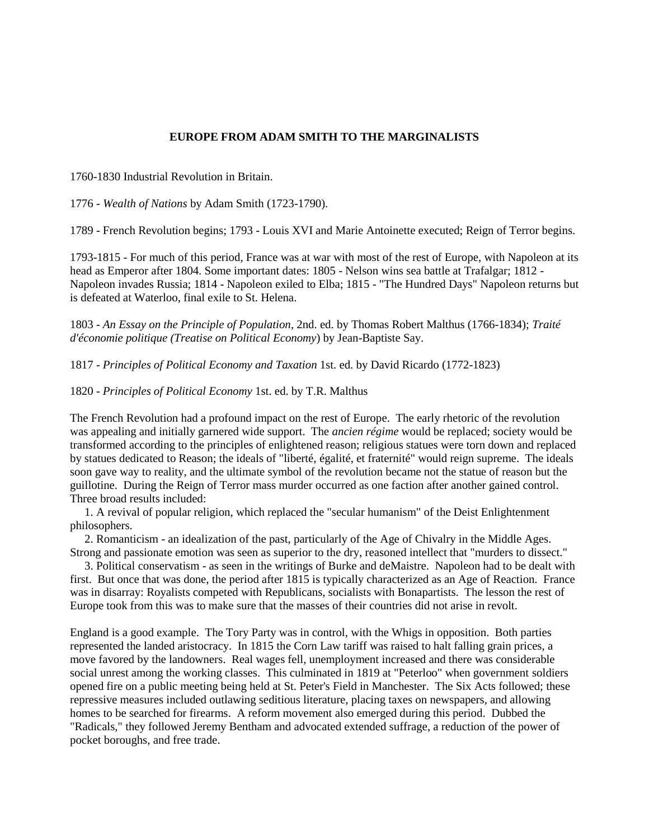## **EUROPE FROM ADAM SMITH TO THE MARGINALISTS**

1760-1830 Industrial Revolution in Britain.

1776 - *Wealth of Nations* by Adam Smith (1723-1790).

1789 - French Revolution begins; 1793 - Louis XVI and Marie Antoinette executed; Reign of Terror begins.

1793-1815 - For much of this period, France was at war with most of the rest of Europe, with Napoleon at its head as Emperor after 1804. Some important dates: 1805 - Nelson wins sea battle at Trafalgar; 1812 - Napoleon invades Russia; 1814 - Napoleon exiled to Elba; 1815 - "The Hundred Days" Napoleon returns but is defeated at Waterloo, final exile to St. Helena.

1803 - *An Essay on the Principle of Population*, 2nd. ed. by Thomas Robert Malthus (1766-1834); *Traité d'économie politique (Treatise on Political Economy*) by Jean-Baptiste Say.

1817 - *Principles of Political Economy and Taxation* 1st. ed. by David Ricardo (1772-1823)

1820 - *Principles of Political Economy* 1st. ed. by T.R. Malthus

The French Revolution had a profound impact on the rest of Europe. The early rhetoric of the revolution was appealing and initially garnered wide support. The *ancien régime* would be replaced; society would be transformed according to the principles of enlightened reason; religious statues were torn down and replaced by statues dedicated to Reason; the ideals of "liberté, égalité, et fraternité" would reign supreme. The ideals soon gave way to reality, and the ultimate symbol of the revolution became not the statue of reason but the guillotine. During the Reign of Terror mass murder occurred as one faction after another gained control. Three broad results included:

 1. A revival of popular religion, which replaced the "secular humanism" of the Deist Enlightenment philosophers.

 2. Romanticism - an idealization of the past, particularly of the Age of Chivalry in the Middle Ages. Strong and passionate emotion was seen as superior to the dry, reasoned intellect that "murders to dissect."

 3. Political conservatism - as seen in the writings of Burke and deMaistre. Napoleon had to be dealt with first. But once that was done, the period after 1815 is typically characterized as an Age of Reaction. France was in disarray: Royalists competed with Republicans, socialists with Bonapartists. The lesson the rest of Europe took from this was to make sure that the masses of their countries did not arise in revolt.

England is a good example. The Tory Party was in control, with the Whigs in opposition. Both parties represented the landed aristocracy. In 1815 the Corn Law tariff was raised to halt falling grain prices, a move favored by the landowners. Real wages fell, unemployment increased and there was considerable social unrest among the working classes. This culminated in 1819 at "Peterloo" when government soldiers opened fire on a public meeting being held at St. Peter's Field in Manchester. The Six Acts followed; these repressive measures included outlawing seditious literature, placing taxes on newspapers, and allowing homes to be searched for firearms. A reform movement also emerged during this period. Dubbed the "Radicals," they followed Jeremy Bentham and advocated extended suffrage, a reduction of the power of pocket boroughs, and free trade.